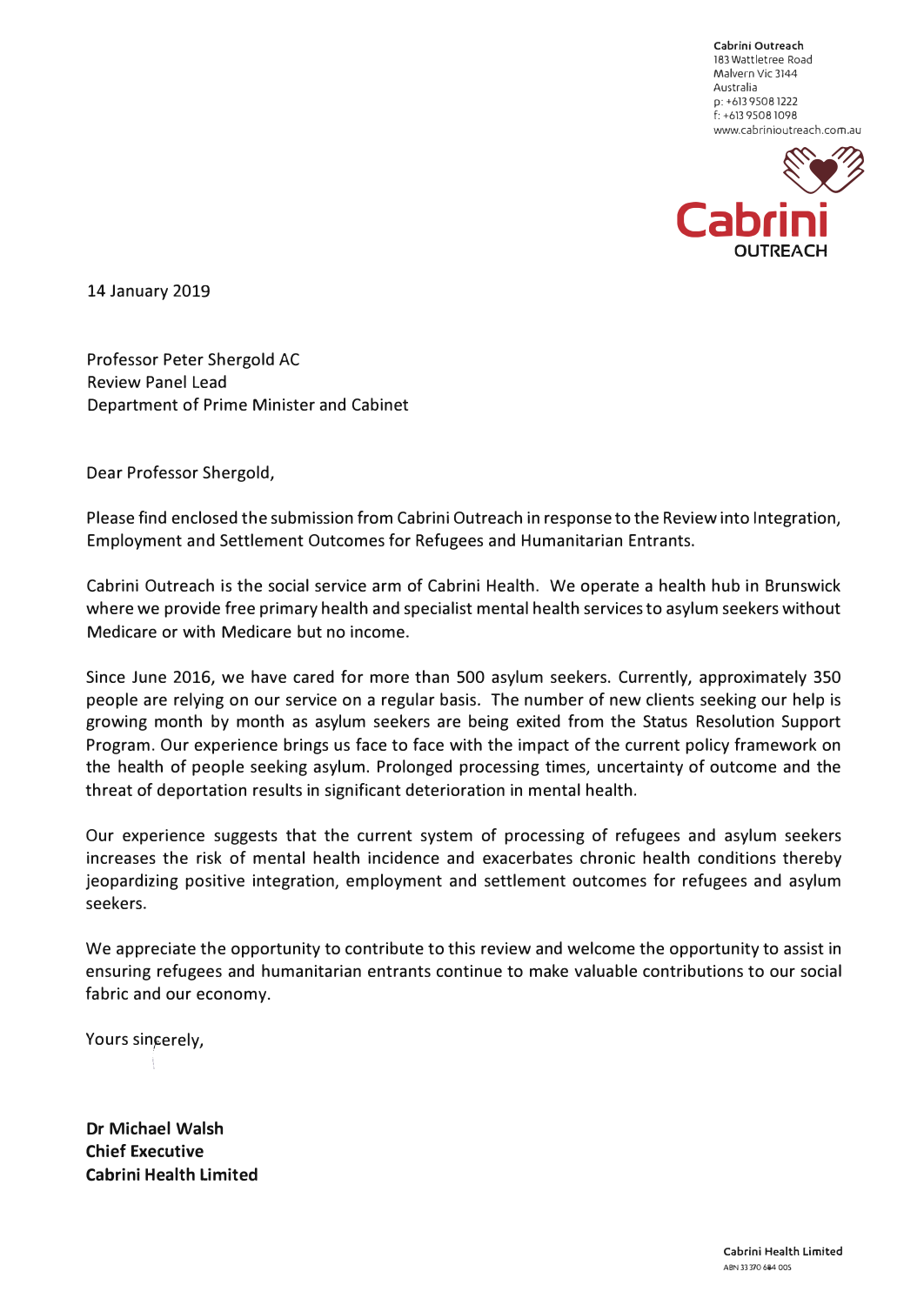**Cabrini Outreach**  183 Watt letree Road Malvern Vic 3144 Australia **p:** +613 9508 1222 f: +613 9508 1098 www.cabrinioutreach.com.au



14 January 2019

Professor Peter Shergold AC Review Panel Lead Department of Prime Minister and Cabinet

Dear Professor Shergold,

Please find enclosed the submission from Cabrini Outreach in response to the Review into Integration, Employment and Settlement Outcomes for Refugees and Humanitarian Entrants.

Cabrini Outreach is the social service arm of Cabrini Health. We operate a health hub in Brunswick where we provide free primary health and specialist mental health services to asylum seekers without Medicare or with Medicare but no income.

Since June 2016, we have cared for more than 500 asylum seekers. Currently, approximately 350 people are relying on our service on a regular basis. The number of new clients seeking our help is growing month by month as asylum seekers are being exited from the Status Resolution Support Program. Our experience brings us face to face with the impact of the current policy framework on the health of people seeking asylum. Prolonged processing times, uncertainty of outcome and the threat of deportation results in significant deterioration in mental health.

Our experience suggests that the current system of processing of refugees and asylum seekers increases the risk of mental health incidence and exacerbates chronic health conditions thereby jeopardizing positive integration, employment and settlement outcomes for refugees and asylum seekers.

We appreciate the opportunity to contribute to this review and welcome the opportunity to assist in ensuring refugees and humanitarian entrants continue to make valuable contributions to our social fabric and our economy.

Yours sincerely,

 $\vdots$ 

**Dr Michael Walsh Chief Executive Cabrini Health Limited**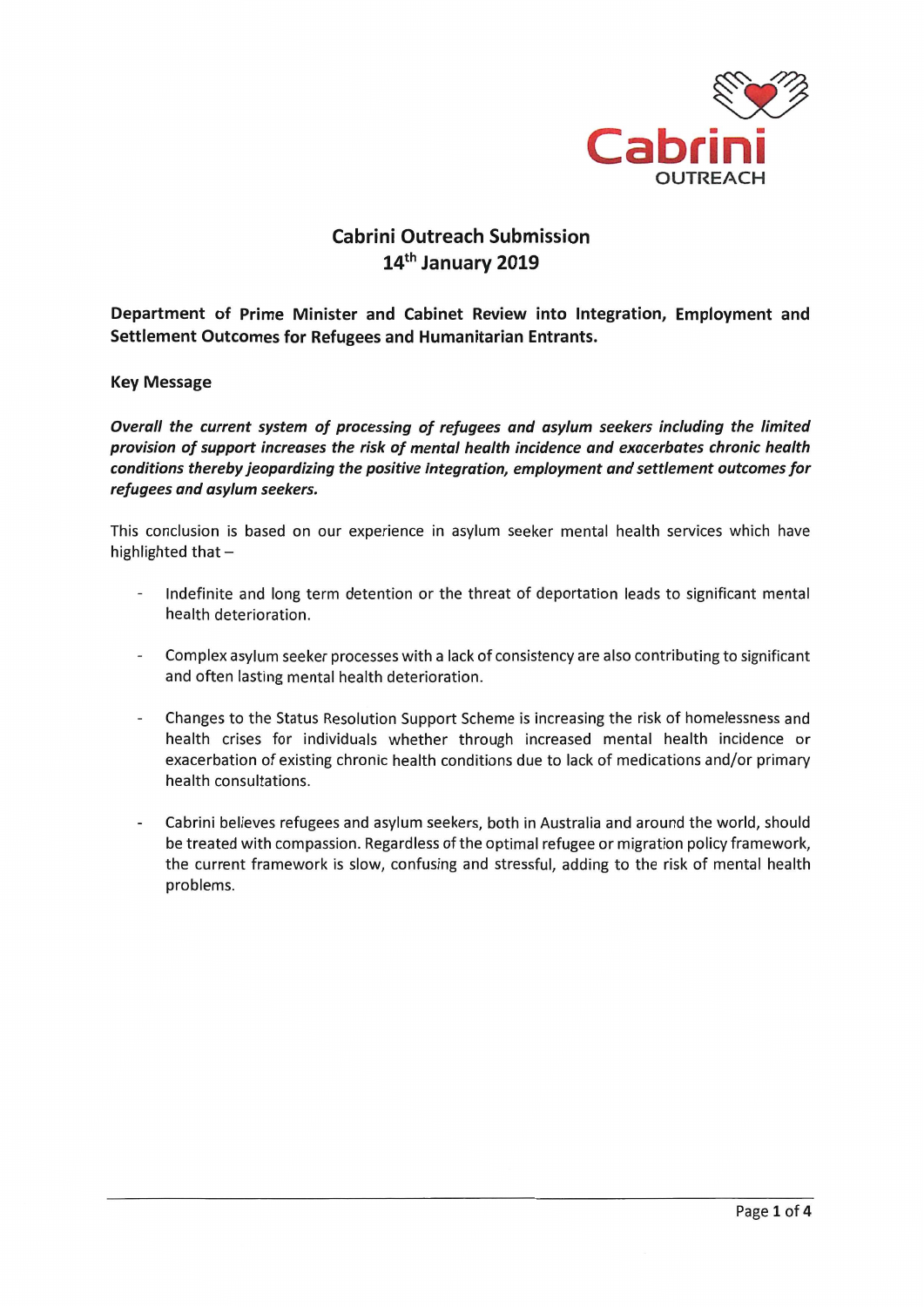

## **Cabrini Outreach Submission** 14th January 2019

Department of Prime Minister and Cabinet Review into Integration, Employment and Settlement Outcomes for Refugees and Humanitarian Entrants.

**Key Message** 

Overall the current system of processing of refugees and asylum seekers including the limited provision of support increases the risk of mental health incidence and exacerbates chronic health conditions thereby jeopardizing the positive integration, employment and settlement outcomes for refugees and asylum seekers.

This conclusion is based on our experience in asylum seeker mental health services which have highlighted that -

- Indefinite and long term detention or the threat of deportation leads to significant mental health deterioration.
- Complex asylum seeker processes with a lack of consistency are also contributing to significant and often lasting mental health deterioration.
- Changes to the Status Resolution Support Scheme is increasing the risk of homelessness and health crises for individuals whether through increased mental health incidence or exacerbation of existing chronic health conditions due to lack of medications and/or primary health consultations.
- Cabrini believes refugees and asylum seekers, both in Australia and around the world, should be treated with compassion. Regardless of the optimal refugee or migration policy framework, the current framework is slow, confusing and stressful, adding to the risk of mental health problems.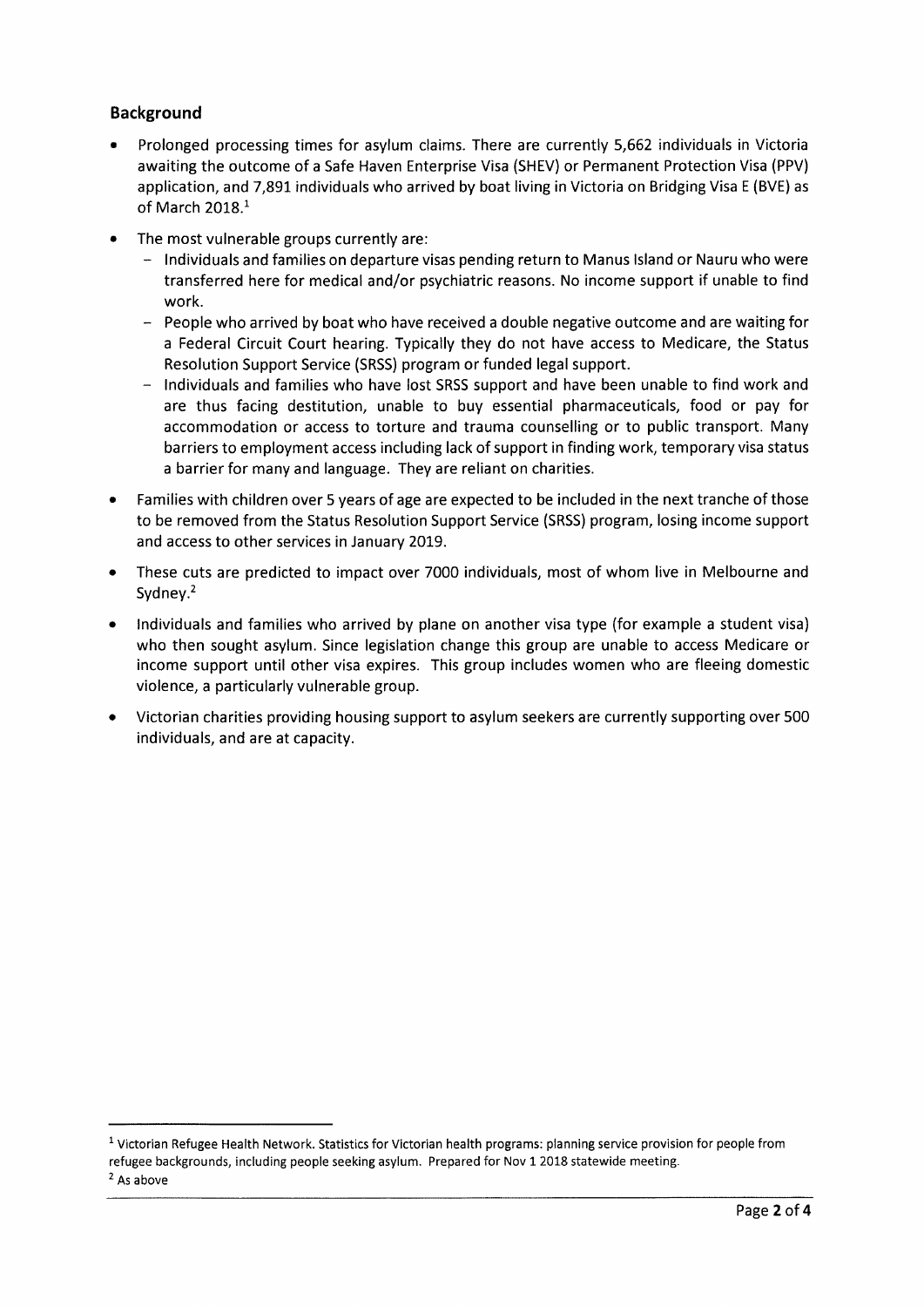## **Background**

- Prolonged processing times for asylum claims. There are currently 5,662 individuals in Victoria awaiting the outcome of a Safe Haven Enterprise Visa (SHEV) or Permanent Protection Visa (PPV) application, and 7,891 individuals who arrived by boat living in Victoria on Bridging Visa E (BVE) as of March 2018.<sup>1</sup>
- The most vulnerable groups currently are:
	- Individuals and families on departure visas pending return to Manus Island or Nauru who were transferred here for medical and/or psychiatric reasons. No income support if unable to find work.
	- People who arrived by boat who have received a double negative outcome and are waiting for a Federal Circuit Court hearing. Typically they do not have access to Medicare, the Status Resolution Support Service (SRSS) program or funded legal support.
	- Individuals and families who have lost SRSS support and have been unable to find work and are thus facing destitution, unable to buy essential pharmaceuticals, food or pay for accommodation or access to torture and trauma counselling or to public transport. Many barriers to employment access including lack of support in finding work, temporary visa status a barrier for many and language. They are reliant on charities.
- Families with children over 5 years of age are expected to be included in the next tranche of those  $\bullet$ to be removed from the Status Resolution Support Service (SRSS) program, losing income support and access to other services in January 2019.
- These cuts are predicted to impact over 7000 individuals, most of whom live in Melbourne and Sydney. $2$
- Individuals and families who arrived by plane on another visa type (for example a student visa) who then sought asylum. Since legislation change this group are unable to access Medicare or income support until other visa expires. This group includes women who are fleeing domestic violence, a particularly vulnerable group.
- Victorian charities providing housing support to asylum seekers are currently supporting over 500  $\bullet$ individuals, and are at capacity.

<sup>&</sup>lt;sup>1</sup> Victorian Refugee Health Network. Statistics for Victorian health programs: planning service provision for people from refugee backgrounds, including people seeking asylum. Prepared for Nov 1 2018 statewide meeting.

 $2$  As above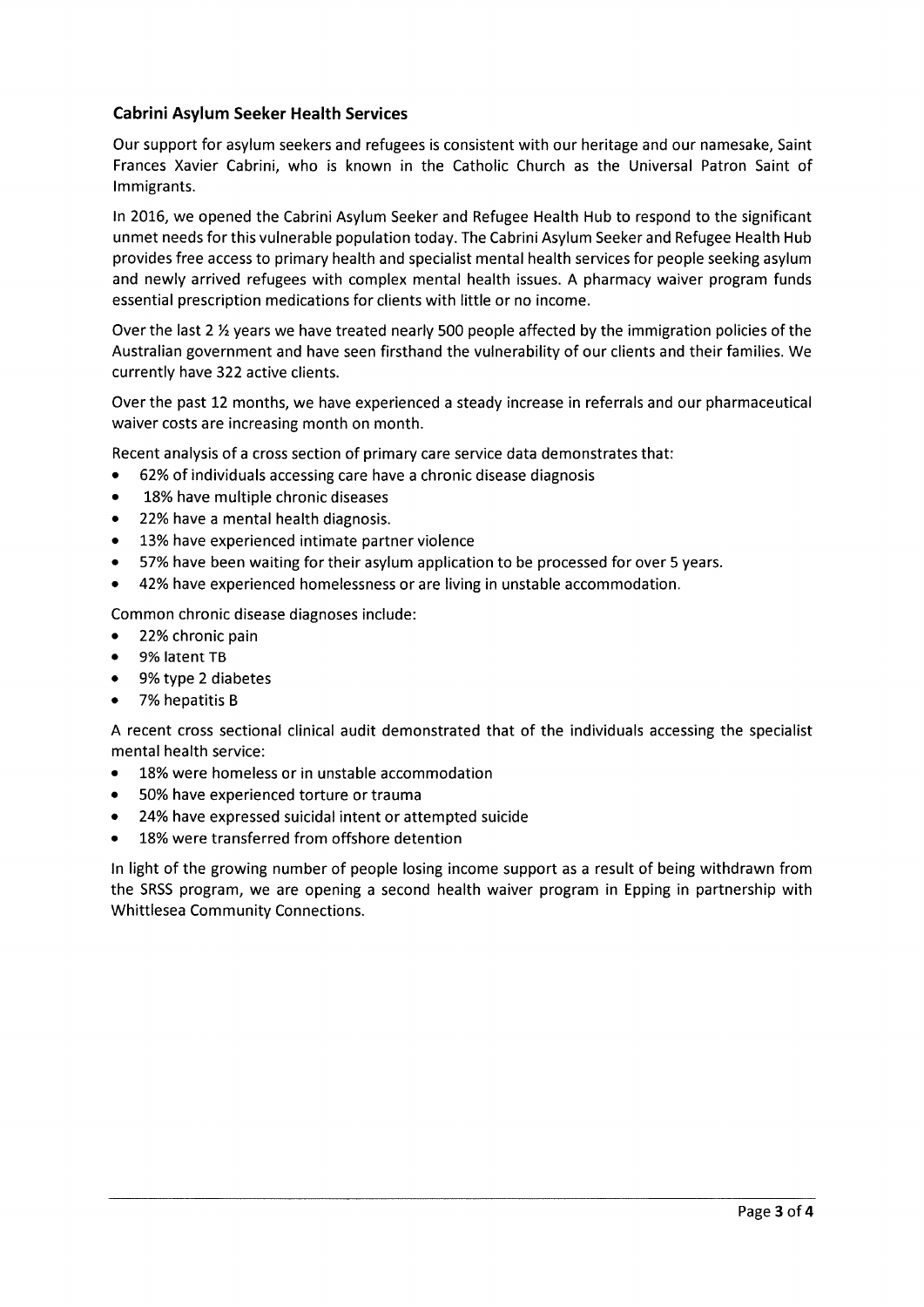## **Cabrini Asylum Seeker Health Services**

Our support for asylum seekers and refugees is consistent with our heritage and our namesake, Saint Frances Xavier Cabrini, who is known in the Catholic Church as the Universal Patron Saint of Immigrants.

In 2016, we opened the Cabrini Asylum Seeker and Refugee Health Hub to respond to the significant unmet needs for this vulnerable population today. The Cabrini Asylum Seeker and Refugee Health Hub provides free access to primary health and specialist mental health services for people seeking asylum and newly arrived refugees with complex mental health issues. A pharmacy waiver program funds essential prescription medications for clients with little or no income.

Over the last 2 1/2 years we have treated nearly 500 people affected by the immigration policies of the Australian government and have seen firsthand the vulnerability of our clients and their families. We currently have 322 active clients.

Over the past 12 months, we have experienced a steady increase in referrals and our pharmaceutical waiver costs are increasing month on month.

Recent analysis of a cross section of primary care service data demonstrates that:

- 62% of individuals accessing care have a chronic disease diagnosis
- 18% have multiple chronic diseases
- 22% have a mental health diagnosis.
- 13% have experienced intimate partner violence
- 57% have been waiting for their asylum application to be processed for over 5 years.
- 42% have experienced homelessness or are living in unstable accommodation.

Common chronic disease diagnoses include:

- 22% chronic pain
- $\bullet$ 9% latent TB
- $\bullet$ 9% type 2 diabetes
- $\bullet$ 7% hepatitis B

A recent cross sectional clinical audit demonstrated that of the individuals accessing the specialist mental health service:

- 18% were homeless or in unstable accommodation  $\bullet$
- 50% have experienced torture or trauma  $\bullet$
- 24% have expressed suicidal intent or attempted suicide  $\bullet$
- 18% were transferred from offshore detention

In light of the growing number of people losing income support as a result of being withdrawn from the SRSS program, we are opening a second health waiver program in Epping in partnership with **Whittlesea Community Connections.**